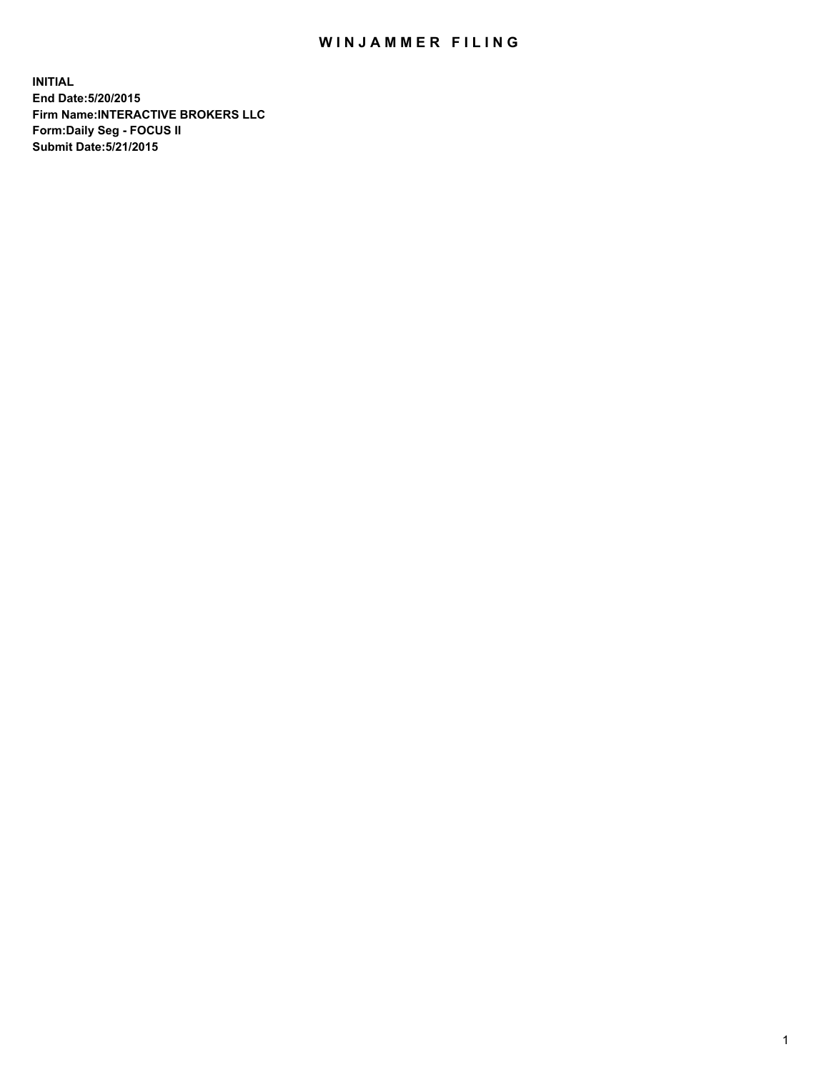## WIN JAMMER FILING

**INITIAL End Date:5/20/2015 Firm Name:INTERACTIVE BROKERS LLC Form:Daily Seg - FOCUS II Submit Date:5/21/2015**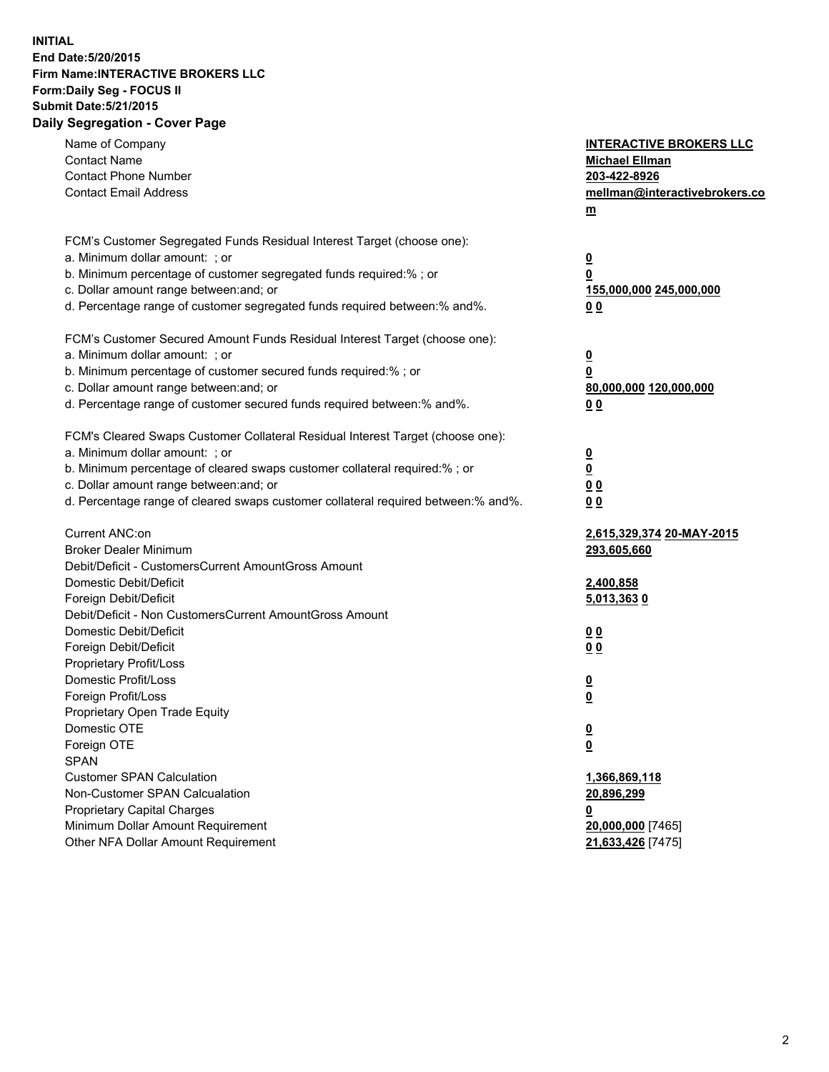## **INITIAL End Date:5/20/2015 Firm Name:INTERACTIVE BROKERS LLC Form:Daily Seg - FOCUS II Submit Date:5/21/2015 Daily Segregation - Cover Page**

| Name of Company                                                                   | <b>INTERACTIVE BROKERS LLC</b> |
|-----------------------------------------------------------------------------------|--------------------------------|
| <b>Contact Name</b>                                                               | <b>Michael Ellman</b>          |
| <b>Contact Phone Number</b>                                                       | 203-422-8926                   |
| <b>Contact Email Address</b>                                                      | mellman@interactivebrokers.co  |
|                                                                                   | $\underline{\mathbf{m}}$       |
| FCM's Customer Segregated Funds Residual Interest Target (choose one):            |                                |
| a. Minimum dollar amount: ; or                                                    | $\overline{\mathbf{0}}$        |
| b. Minimum percentage of customer segregated funds required:% ; or                | 0                              |
| c. Dollar amount range between: and; or                                           | 155,000,000 245,000,000        |
| d. Percentage range of customer segregated funds required between:% and%.         | 00                             |
| FCM's Customer Secured Amount Funds Residual Interest Target (choose one):        |                                |
| a. Minimum dollar amount: ; or                                                    | $\overline{\mathbf{0}}$        |
| b. Minimum percentage of customer secured funds required:% ; or                   | 0                              |
| c. Dollar amount range between: and; or                                           | 80,000,000 120,000,000         |
| d. Percentage range of customer secured funds required between:% and%.            | 00                             |
|                                                                                   |                                |
| FCM's Cleared Swaps Customer Collateral Residual Interest Target (choose one):    |                                |
| a. Minimum dollar amount: ; or                                                    | $\overline{\mathbf{0}}$        |
| b. Minimum percentage of cleared swaps customer collateral required:% ; or        | $\overline{\mathbf{0}}$        |
| c. Dollar amount range between: and; or                                           | 0 <sub>0</sub>                 |
| d. Percentage range of cleared swaps customer collateral required between:% and%. | 0 <sub>0</sub>                 |
| Current ANC:on                                                                    | 2,615,329,374 20-MAY-2015      |
| <b>Broker Dealer Minimum</b>                                                      | 293,605,660                    |
| Debit/Deficit - CustomersCurrent AmountGross Amount                               |                                |
| Domestic Debit/Deficit                                                            | 2,400,858                      |
| Foreign Debit/Deficit                                                             | 5,013,3630                     |
| Debit/Deficit - Non CustomersCurrent AmountGross Amount                           |                                |
| Domestic Debit/Deficit                                                            | 0 <sub>0</sub>                 |
| Foreign Debit/Deficit                                                             | 0 <sub>0</sub>                 |
| Proprietary Profit/Loss                                                           |                                |
| Domestic Profit/Loss                                                              | $\overline{\mathbf{0}}$        |
| Foreign Profit/Loss                                                               | $\underline{\mathbf{0}}$       |
| Proprietary Open Trade Equity                                                     |                                |
| Domestic OTE                                                                      | <u>0</u>                       |
| Foreign OTE                                                                       | <u>0</u>                       |
| <b>SPAN</b>                                                                       |                                |
| <b>Customer SPAN Calculation</b>                                                  | 1,366,869,118                  |
| Non-Customer SPAN Calcualation                                                    | 20,896,299                     |
| Proprietary Capital Charges                                                       | <u>0</u>                       |
| Minimum Dollar Amount Requirement                                                 | 20,000,000 [7465]              |
| Other NFA Dollar Amount Requirement                                               | 21,633,426 [7475]              |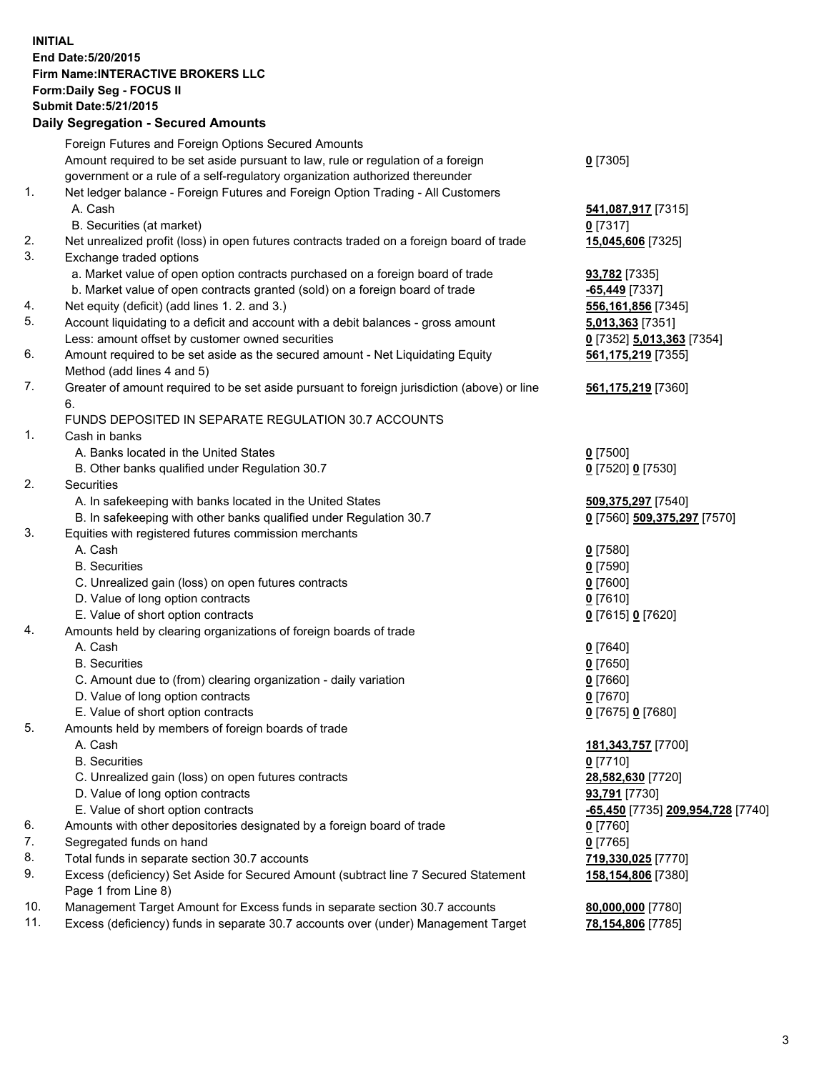## **INITIAL End Date:5/20/2015 Firm Name:INTERACTIVE BROKERS LLC Form:Daily Seg - FOCUS II Submit Date:5/21/2015 Daily Segregation - Secured Amounts**

|                | Daily Ocglegation - Occuled Amounts                                                                        |                                   |
|----------------|------------------------------------------------------------------------------------------------------------|-----------------------------------|
|                | Foreign Futures and Foreign Options Secured Amounts                                                        |                                   |
|                | Amount required to be set aside pursuant to law, rule or regulation of a foreign                           | $0$ [7305]                        |
|                | government or a rule of a self-regulatory organization authorized thereunder                               |                                   |
| 1.             | Net ledger balance - Foreign Futures and Foreign Option Trading - All Customers                            |                                   |
|                | A. Cash                                                                                                    | 541,087,917 [7315]                |
|                | B. Securities (at market)                                                                                  | $0$ [7317]                        |
| 2.             | Net unrealized profit (loss) in open futures contracts traded on a foreign board of trade                  | 15,045,606 [7325]                 |
| 3.             | Exchange traded options                                                                                    |                                   |
|                | a. Market value of open option contracts purchased on a foreign board of trade                             | <b>93,782</b> [7335]              |
|                | b. Market value of open contracts granted (sold) on a foreign board of trade                               | $-65,449$ [7337]                  |
| 4.             | Net equity (deficit) (add lines 1. 2. and 3.)                                                              | 556,161,856 [7345]                |
| 5.             | Account liquidating to a deficit and account with a debit balances - gross amount                          | 5,013,363 [7351]                  |
|                | Less: amount offset by customer owned securities                                                           | 0 [7352] 5,013,363 [7354]         |
| 6.             | Amount required to be set aside as the secured amount - Net Liquidating Equity                             | 561, 175, 219 [7355]              |
|                | Method (add lines 4 and 5)                                                                                 |                                   |
| 7.             | Greater of amount required to be set aside pursuant to foreign jurisdiction (above) or line                | 561,175,219 [7360]                |
|                | 6.                                                                                                         |                                   |
|                | FUNDS DEPOSITED IN SEPARATE REGULATION 30.7 ACCOUNTS                                                       |                                   |
| $\mathbf{1}$ . | Cash in banks                                                                                              |                                   |
|                | A. Banks located in the United States                                                                      | $0$ [7500]                        |
|                | B. Other banks qualified under Regulation 30.7                                                             | 0 [7520] 0 [7530]                 |
| 2.             | Securities                                                                                                 |                                   |
|                | A. In safekeeping with banks located in the United States                                                  | 509,375,297 [7540]                |
|                | B. In safekeeping with other banks qualified under Regulation 30.7                                         | 0 [7560] 509,375,297 [7570]       |
| 3.             | Equities with registered futures commission merchants                                                      |                                   |
|                | A. Cash                                                                                                    | $0$ [7580]                        |
|                | <b>B.</b> Securities                                                                                       | $0$ [7590]                        |
|                | C. Unrealized gain (loss) on open futures contracts                                                        | $0$ [7600]                        |
|                | D. Value of long option contracts                                                                          | $0$ [7610]                        |
|                | E. Value of short option contracts                                                                         | 0 [7615] 0 [7620]                 |
| 4.             | Amounts held by clearing organizations of foreign boards of trade                                          |                                   |
|                | A. Cash                                                                                                    | $0$ [7640]                        |
|                | <b>B.</b> Securities                                                                                       | $0$ [7650]                        |
|                | C. Amount due to (from) clearing organization - daily variation                                            | $0$ [7660]                        |
|                | D. Value of long option contracts                                                                          | $0$ [7670]                        |
|                | E. Value of short option contracts                                                                         | 0 [7675] 0 [7680]                 |
| 5.             | Amounts held by members of foreign boards of trade                                                         |                                   |
|                | A. Cash                                                                                                    | 181, 343, 757 [7700]              |
|                | <b>B.</b> Securities                                                                                       | $0$ [7710]                        |
|                | C. Unrealized gain (loss) on open futures contracts                                                        | 28,582,630 [7720]                 |
|                | D. Value of long option contracts                                                                          | 93,791 [7730]                     |
|                | E. Value of short option contracts                                                                         | -65,450 [7735] 209,954,728 [7740] |
| 6.             | Amounts with other depositories designated by a foreign board of trade                                     | 0 [7760]                          |
| 7.             | Segregated funds on hand                                                                                   | $0$ [7765]                        |
| 8.             | Total funds in separate section 30.7 accounts                                                              | 719,330,025 [7770]                |
| 9.             | Excess (deficiency) Set Aside for Secured Amount (subtract line 7 Secured Statement<br>Page 1 from Line 8) | 158,154,806 [7380]                |
| 10.            | Management Target Amount for Excess funds in separate section 30.7 accounts                                | 80,000,000 [7780]                 |
| 11.            | Excess (deficiency) funds in separate 30.7 accounts over (under) Management Target                         | 78,154,806 [7785]                 |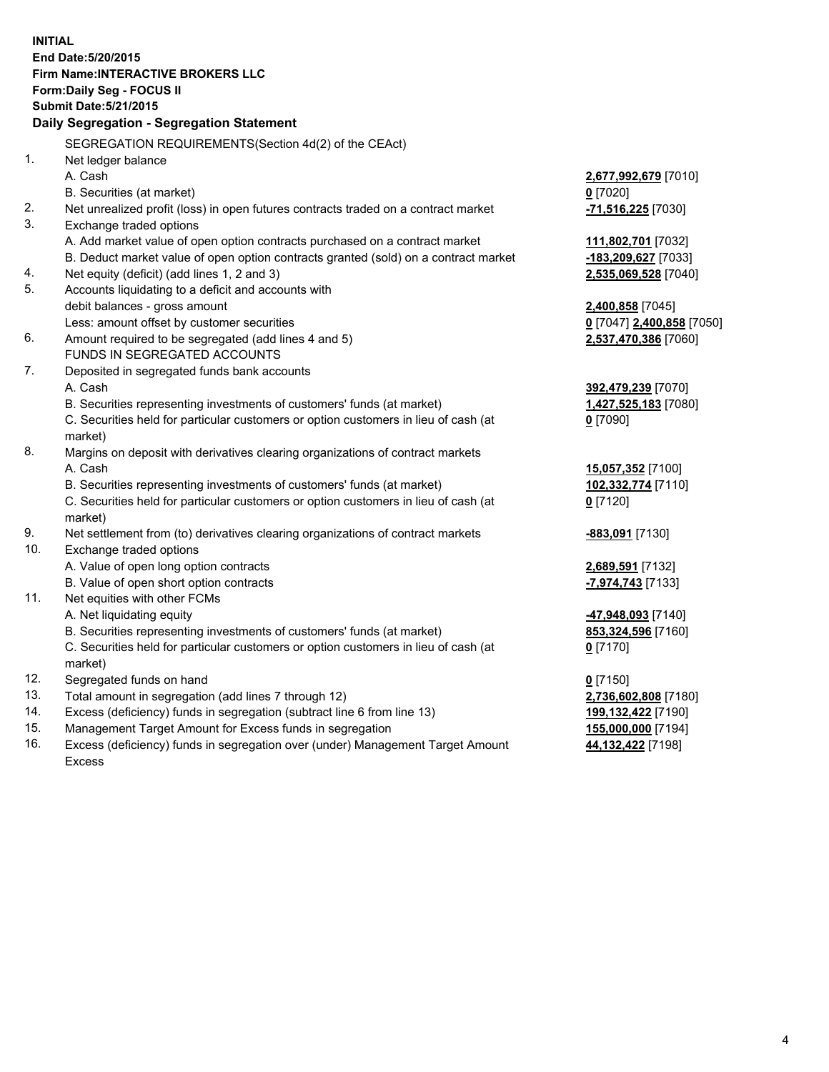**INITIAL End Date:5/20/2015 Firm Name:INTERACTIVE BROKERS LLC Form:Daily Seg - FOCUS II Submit Date:5/21/2015 Daily Segregation - Segregation Statement** SEGREGATION REQUIREMENTS(Section 4d(2) of the CEAct) 1. Net ledger balance A. Cash **2,677,992,679** [7010] B. Securities (at market) **0** [7020] 2. Net unrealized profit (loss) in open futures contracts traded on a contract market **-71,516,225** [7030] 3. Exchange traded options A. Add market value of open option contracts purchased on a contract market **111,802,701** [7032] B. Deduct market value of open option contracts granted (sold) on a contract market **-183,209,627** [7033] 4. Net equity (deficit) (add lines 1, 2 and 3) **2,535,069,528** [7040] 5. Accounts liquidating to a deficit and accounts with debit balances - gross amount **2,400,858** [7045] Less: amount offset by customer securities **0** [7047] **2,400,858** [7050] 6. Amount required to be segregated (add lines 4 and 5) **2,537,470,386** [7060] FUNDS IN SEGREGATED ACCOUNTS 7. Deposited in segregated funds bank accounts A. Cash **392,479,239** [7070] B. Securities representing investments of customers' funds (at market) **1,427,525,183** [7080] C. Securities held for particular customers or option customers in lieu of cash (at market) **0** [7090] 8. Margins on deposit with derivatives clearing organizations of contract markets A. Cash **15,057,352** [7100] B. Securities representing investments of customers' funds (at market) **102,332,774** [7110] C. Securities held for particular customers or option customers in lieu of cash (at market) **0** [7120] 9. Net settlement from (to) derivatives clearing organizations of contract markets **-883,091** [7130] 10. Exchange traded options A. Value of open long option contracts **2,689,591** [7132] B. Value of open short option contracts **-7,974,743** [7133] 11. Net equities with other FCMs A. Net liquidating equity **-47,948,093** [7140] B. Securities representing investments of customers' funds (at market) **853,324,596** [7160] C. Securities held for particular customers or option customers in lieu of cash (at market) **0** [7170] 12. Segregated funds on hand **0** [7150] 13. Total amount in segregation (add lines 7 through 12) **2,736,602,808** [7180] 14. Excess (deficiency) funds in segregation (subtract line 6 from line 13) **199,132,422** [7190] 15. Management Target Amount for Excess funds in segregation **155,000,000** [7194]

16. Excess (deficiency) funds in segregation over (under) Management Target Amount Excess

**44,132,422** [7198]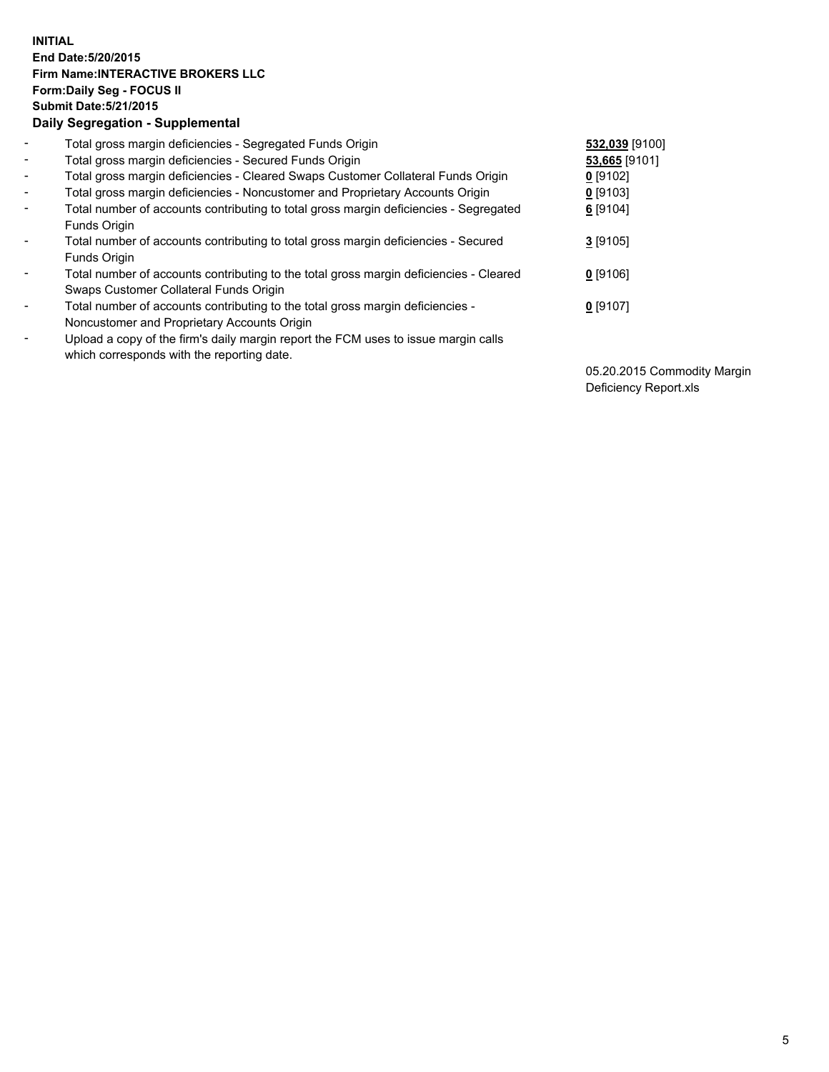## **INITIAL End Date:5/20/2015 Firm Name:INTERACTIVE BROKERS LLC Form:Daily Seg - FOCUS II Submit Date:5/21/2015 Daily Segregation - Supplemental**

| $\blacksquare$ | Total gross margin deficiencies - Segregated Funds Origin                              | 532,039 [9100] |
|----------------|----------------------------------------------------------------------------------------|----------------|
| $\blacksquare$ | Total gross margin deficiencies - Secured Funds Origin                                 | 53,665 [9101]  |
| $\blacksquare$ | Total gross margin deficiencies - Cleared Swaps Customer Collateral Funds Origin       | $0$ [9102]     |
| $\blacksquare$ | Total gross margin deficiencies - Noncustomer and Proprietary Accounts Origin          | $0$ [9103]     |
| $\blacksquare$ | Total number of accounts contributing to total gross margin deficiencies - Segregated  | $6$ [9104]     |
|                | <b>Funds Origin</b>                                                                    |                |
| $\blacksquare$ | Total number of accounts contributing to total gross margin deficiencies - Secured     | $3$ [9105]     |
|                | <b>Funds Origin</b>                                                                    |                |
|                | Total number of accounts contributing to the total gross margin deficiencies - Cleared | $0$ [9106]     |
|                | Swaps Customer Collateral Funds Origin                                                 |                |
| $\blacksquare$ | Total number of accounts contributing to the total gross margin deficiencies -         | $0$ [9107]     |
|                | Noncustomer and Proprietary Accounts Origin                                            |                |
| $\blacksquare$ | Upload a copy of the firm's daily margin report the FCM uses to issue margin calls     |                |
|                | which corresponds with the reporting date.                                             |                |

05.20.2015 Commodity Margin Deficiency Report.xls